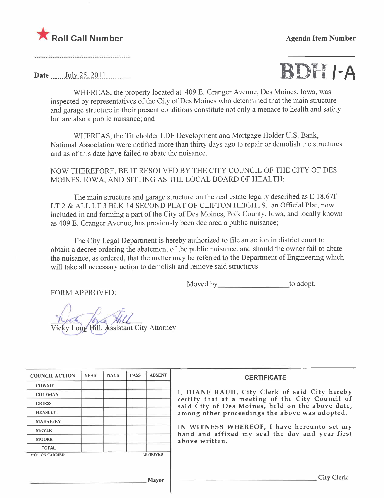



WHEREAS, the property located at 409 E. Granger Avenue, Des Moines, Iowa, was inspected by representatives of the City of Des Moines who determined that the main structure and garage structure in their present conditions constitute not only a menace to health and safety but are also a public nuisance; and

WHEREAS, the Titleholder LDF Development and Mortgage Holder U.S. Bank, National Association were notified more than thirty days ago to repair or demolish the structures and as of this date have failed to abate the nuisance.

NOW THEREFORE, BE IT RESOLVED BY THE CITY COUNCIL OF THE CITY OF DES MOINES, IOWA, AND SITTING AS THE LOCAL BOARD OF HEALTH:

The main structure and garage structure on the real estate legally described as E 18.67F LT 2 & ALL LT 3 BLK 14 SECOND PLAT OF CLIFTON HEIGHTS, an Official Plat, now included in and forming a part of the City of Des Moines, Polk County, Iowa, and locally known as 409 E. Granger Avenue, has previously been declared a public nuisance;

The City Legal Department is hereby authorized to fie an action in district court to obtain a decree ordering the abatement of the public nuisance, and should the owner fail to abate the nuisance, as ordered, that the matter may be referred to the Department of Engineering which will take all necessary action to demolish and remove said structures.

Moved by to adopt.

FORM APPROVED:

Vicky Long Hill, Assistant City Attorney

| <b>COUNCIL ACTION</b> | <b>YEAS</b> | <b>NAYS</b> | <b>PASS</b> | <b>ABSENT</b>   | <b>CERTIFICATE</b>                                                                                   |
|-----------------------|-------------|-------------|-------------|-----------------|------------------------------------------------------------------------------------------------------|
| <b>COWNIE</b>         |             |             |             |                 |                                                                                                      |
| <b>COLEMAN</b>        |             |             |             |                 | I, DIANE RAUH, City Clerk of said City hereby                                                        |
| <b>GRIESS</b>         |             |             |             |                 | certify that at a meeting of the City Council of<br>said City of Des Moines, held on the above date, |
| <b>HENSLEY</b>        |             |             |             |                 | among other proceedings the above was adopted.                                                       |
| <b>MAHAFFEY</b>       |             |             |             |                 |                                                                                                      |
| <b>MEYER</b>          |             |             |             |                 | IN WITNESS WHEREOF, I have hereunto set my                                                           |
| <b>MOORE</b>          |             |             |             |                 | hand and affixed my seal the day and year first<br>above written.                                    |
| <b>TOTAL</b>          |             |             |             |                 |                                                                                                      |
| <b>MOTION CARRIED</b> |             |             |             | <b>APPROVED</b> |                                                                                                      |
|                       |             |             |             |                 |                                                                                                      |
|                       |             |             |             |                 |                                                                                                      |
|                       |             |             |             | Mayor           | <b>City Clerk</b>                                                                                    |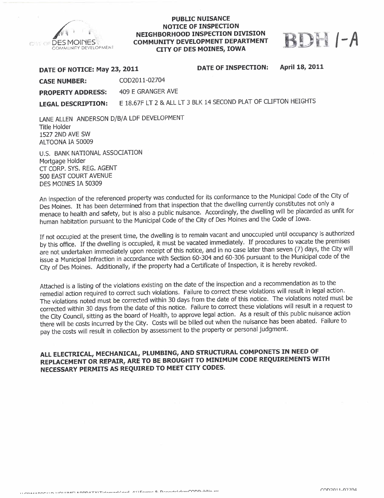

## PUBLIC NUISANCE NOTICE OF INSPECTION NEIGHBORHOOD INSPECTION DIVISION COMMUNITY DEVELOPMENT DEPARTMENT COMMUNITY DEVELOPMENT DEPARTMENT **DEPARTMENT DEPARTMENT**



| DATE OF NOTICE: May 23, 2011 |                   | <b>DATE OF INSPECTION:</b>                                     | April 18, 2011 |
|------------------------------|-------------------|----------------------------------------------------------------|----------------|
| <b>CASE NUMBER:</b>          | COD2011-02704     |                                                                |                |
| <b>PROPERTY ADDRESS:</b>     | 409 E GRANGER AVE |                                                                |                |
| <b>LEGAL DESCRIPTION:</b>    |                   | E 18.67F LT 2 & ALL LT 3 BLK 14 SECOND PLAT OF CLIFTON HEIGHTS |                |

LANE ALLEN ANDERSON D/B/A LDF DEVELOPMENT Title Holder 1527 2ND AVE SW ALTOONA IA 50009

U.S. BANK NATIONAL ASSOCIATION Mortgage Holder CT CORP. SYS. REG. AGENT 500 EAST COURT AVENUE DES MOINES IA 50309

An inspection of the referenced property was conducted for its conformance to the Municipal Code of the City of Des Moines. It has been determined from that inspection that the dwelling currently constitutes not only a menace to health and safety, but is also a public nuisance. Accordingly, the dwelling wil be placarded as unfit for human habitation pursuant to the Municipal Code of the City of Des Moines and the Code of Iowa.

If not occupied at the present time, the dwelling is to remain vacant and unoccupied until occupancy is authorized by this office. If the dwelling is occupied, it must be vacated immediately. If procedures to vacate the premises are not undertaken immediately upon receipt of this notice, and in no case later than seven (7) days, the Ci are not undertaken immediately upon receipt of this notice, and in no case later than several  $\mathcal{O}_1$  days, the  $\mathcal{O}_2$ issue a Municipal Infraction in accordance with Section 60-304 and 60-306 pursuant to the Municipal code of the City of Des Moines. Additionally, if the property had a Certificate of Inspection, it is hereby revoked.

Attached is a listing of the violations existing on the date of the inspection and a recommendation as to the remedial action required to correct such violations. Failure to correct these violations will result in legal action. The violations noted must be corrected within 30 days from the date of this notice. The violations noted must be corrected within 30 days from the date of this notice. Failure to correct these violations will result in a request to the City Council, sitting as the board of Health, to approve legal action. As a result of this public nuisance action there wil be costs incurred by the City. Costs will be billed out when the nuisance has been abated. Failure to pay the costs will result in collection by assessment to the property or personal judgment.

# ALL ELECTRICAL, MECHANICAL, PLUMBING, AND STRUCTURAL COMPONETS IN NEED OF REPLACEMENT OR REPAIR, ARE TO BE BROUGHT TO MINIMUM CODE REQUIREMENTS WITH NECESSARY PERMITS AS REQUIRED TO MEET CITY CODES.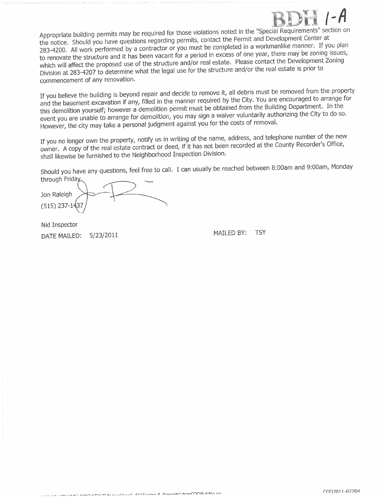Appropriate building permits may be required for those violations noted in the "Special Requirements" section on the notice. Should you have questions regarding permits, contact the Permit and Development Center at 283-4200. All work performed by a contractor or you must be completed in a workmanlike manner. If you plan to renovate the structure and it has been vacant for a period in excess of one year, there may be zoning issues, which will affect the proposed use of the structure and/or real estate. Please contact the Development Zoning which will affect the proposed use of the structure and/or the structure and/or the real estate is prior to Division at  $283-4207$  to determine what the legal use for the structure and/or the real estate is prior to  $\frac{1}{2}$ commencement of any renovation.

If you believe the building is beyond repair and decide to remove it, all debris must be removed from the property and the basement excavation if any, filled in the manner required by the City. You are encouraged to arrang this demolition yourself; however a demolition permit must be obtained from the Building Department. In the this demolition yourself; nowever a demolition permit must be obtained which you have in the Building the City to do so event you are unable to arrange for demolition, you may sign a waiver voluntarily and wall all the City of the City of the City of the City of the City of the City of the City of the City of the City of the City of the Cit However, the city may take a personal judgment against you for the costs of removaL.

If you no longer own the property, notify us in writing of the name, dualess, and telephone number of the new owner. A copy of the real estate contract or deed, if it has not been recorded at the County Recorder's Office, shall likewise be furnished to the Neighborhood Inspection Division.

Should you have any questions, feel free to call. I can usually be reached between 8:00am and 9:00am, Monday

through Friday Jon Raleigh  $(515)$  237-14

Nid Inspector DATE MAILED: 5/23/2011 MAILED BY: TSY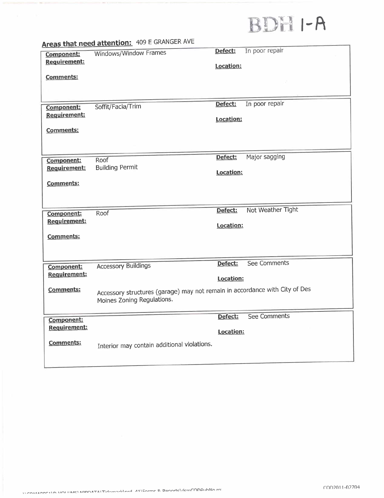# BDH I-A

|                                   | Areas that need attention: 403 E Group List Av                              |           |                   |
|-----------------------------------|-----------------------------------------------------------------------------|-----------|-------------------|
| Component:<br><b>Requirement:</b> | Windows/Window Frames                                                       | Defect:   | In poor repair    |
|                                   |                                                                             | Location: |                   |
| <b>Comments:</b>                  |                                                                             |           |                   |
|                                   |                                                                             |           |                   |
|                                   |                                                                             | Defect:   | In poor repair    |
| Component:                        | Soffit/Facia/Trim                                                           |           |                   |
| Requirement:                      |                                                                             | Location: |                   |
| <b>Comments:</b>                  |                                                                             |           |                   |
|                                   |                                                                             |           |                   |
|                                   |                                                                             |           |                   |
| Component:                        | Roof<br><b>Building Permit</b>                                              | Defect:   | Major sagging     |
| <b>Requirement:</b>               |                                                                             | Location: |                   |
| Comments:                         |                                                                             |           |                   |
|                                   |                                                                             |           |                   |
|                                   |                                                                             |           |                   |
| Component:                        | Roof                                                                        | Defect:   | Not Weather Tight |
| Requirement:                      |                                                                             | Location: |                   |
| Comments:                         |                                                                             |           |                   |
|                                   |                                                                             |           |                   |
|                                   |                                                                             |           |                   |
| Component:                        | <b>Accessory Buildings</b>                                                  | Defect:   | See Comments      |
| <b>Requirement:</b>               |                                                                             | Location: |                   |
| <b>Comments:</b>                  | Accessory structures (garage) may not remain in accordance with City of Des |           |                   |
|                                   | Moines Zoning Regulations.                                                  |           |                   |
|                                   |                                                                             |           |                   |
| Component:                        |                                                                             | Defect:   | See Comments      |
| <b>Requirement:</b>               |                                                                             | Location: |                   |
| <b>Comments:</b>                  |                                                                             |           |                   |
|                                   | Interior may contain additional violations.                                 |           |                   |
|                                   |                                                                             |           |                   |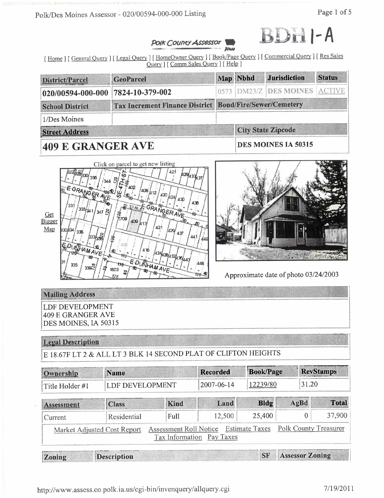Polk/Des Moines Assessor - 020/00594-000-000 Listing



## **POIK COUNTY Assessor Retreat**

[Home ] [ General Query ] [ Legal Query ] [ HomeOwner Query ] [ Book/Page Query ] [ Commercial Query ] [ Res Sales Query ] [ Comm Sales Query ] [ Help ]

| <b>District/Parcel</b>  | GeoParcel                                                      |                           | Map Nbhd                   | <b>Jurisdiction</b>    | <b>Status</b> |  |  |  |
|-------------------------|----------------------------------------------------------------|---------------------------|----------------------------|------------------------|---------------|--|--|--|
| $020/00594 - 000 - 000$ | 7824-10-379-002                                                |                           |                            | 0573 DM23/Z DES MOINES |               |  |  |  |
| <b>School District</b>  | <b>Tax Increment Finance District Bond/Fire/Sewer/Cemetery</b> |                           |                            |                        |               |  |  |  |
| 1/Des Moines            |                                                                |                           |                            |                        |               |  |  |  |
| <b>Street Address</b>   |                                                                | <b>City State Zipcode</b> |                            |                        |               |  |  |  |
| 409 E GRANGER AVE       |                                                                |                           | <b>DES MOINES IA 50315</b> |                        |               |  |  |  |





Approximate date of photo 03/24/2003

# **Mailing Address**

**LDF DEVELOPMENT 409 E GRANGER AVE** DES MOINES, IA 50315

# **Legal Description**

E 18.67F LT 2 & ALL LT 3 BLK 14 SECOND PLAT OF CLIFTON HEIGHTS

| Ownership         | <b>Name</b>                 |             |                                                                    | <b>Book/Page</b> |      | <b>RevStamps</b>       |  |
|-------------------|-----------------------------|-------------|--------------------------------------------------------------------|------------------|------|------------------------|--|
| Title Holder #1   | <b>LDF DEVELOPMENT</b>      |             | 2007-06-14                                                         | 12239/80         |      | 31.20                  |  |
| <b>Assessment</b> | <b>Class</b>                | Kind        | Land                                                               | <b>Bldg</b>      | AgBd | <b>Total</b>           |  |
| Current           | Residential                 | <b>Full</b> | 12,500                                                             | 25,400           |      | 37,900<br>0            |  |
|                   | Market Adjusted Cost Report |             | Assessment Roll Notice Estimate Taxes<br>Tax Information Pay Taxes |                  |      | Polk County Treasurer  |  |
| Zoning            | <b>Description</b>          |             |                                                                    | SF               |      | <b>Assessor Zoning</b> |  |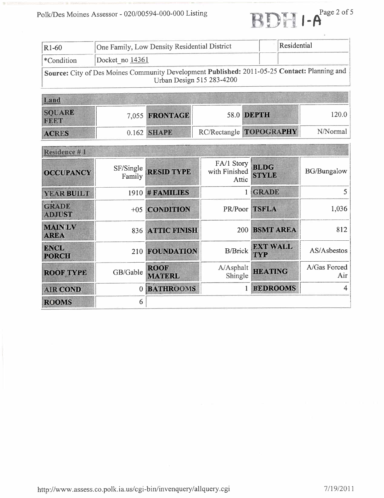| One Family, Low Density Residential District<br>$R1-60$ |                                                                                                                           | Residential |
|---------------------------------------------------------|---------------------------------------------------------------------------------------------------------------------------|-------------|
| $ \ast$ Condition                                       | Docket no $14361$                                                                                                         |             |
|                                                         | Source: City of Des Moines Community Development Published: 2011-05-25 Contact: Planning and<br>Urban Design 515 283-4200 |             |

| Land                         |  |                |  |                         |          |
|------------------------------|--|----------------|--|-------------------------|----------|
| <b>SQUARE</b><br><b>FEET</b> |  | 7,055 FRONTAGE |  | 58.0 DEPTH              | 120.0    |
| <b>ACRES</b>                 |  | 0.162 SHAPE    |  | RC/Rectangle TOPOGRAPHY | N/Normal |

| Residence #1                  |                     |                              |                                      |                             |                     |  |
|-------------------------------|---------------------|------------------------------|--------------------------------------|-----------------------------|---------------------|--|
| <b>OCCUPANCY</b>              | SF/Single<br>Family | <b>RESID TYPE</b>            | FA/1 Story<br>with Finished<br>Attic | <b>BLDG</b><br><b>STYLE</b> | <b>BG/Bungalow</b>  |  |
| YEAR BUILT                    | 1910                | #FAMILIES                    |                                      | <b>GRADE</b>                | 5                   |  |
| <b>GRADE</b><br><b>ADJUST</b> | $+05$               | <b>CONDITION</b>             | PR/Poor                              | <b>TSFLA</b>                | 1,036               |  |
| <b>MAINLV</b><br><b>AREA</b>  |                     | 836 ATTIC FINISH             | <b>200</b>                           | <b>BSMT AREA</b>            | 812                 |  |
| <b>ENCL</b><br><b>PORCH</b>   | 210                 | <b>FOUNDATION</b>            | <b>B/Brick</b>                       | <b>EXT WALL</b><br>TYP      | AS/Asbestos         |  |
| <b>ROOF TYPE</b>              | GB/Gable            | <b>ROOF</b><br><b>MATERL</b> | A/Asphalt<br>Shingle                 | <b>HEATING</b>              | A/Gas Forced<br>Air |  |
| <b>AIR COND</b>               | $\mathbf{0}$        | <b>BATHROOMS</b>             |                                      | <b>BEDROOMS</b>             |                     |  |
| <b>ROOMS</b>                  | 6                   |                              |                                      |                             |                     |  |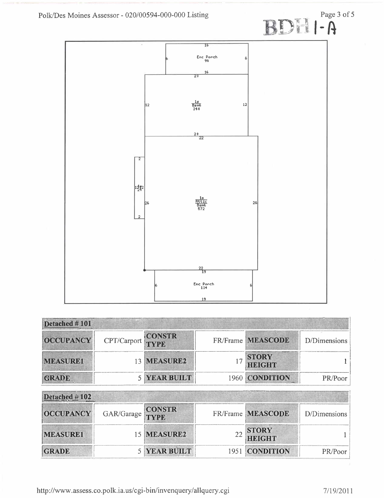

| Detached #101    |             |             |                               |              |
|------------------|-------------|-------------|-------------------------------|--------------|
| <b>OCCUPANCY</b> | CPT/Carport | CONSTR      | FR/Frame MEASCODE             | D/Dimensions |
| <b>MEASURE1</b>  |             | 13 MEASURE2 | <b>STORY</b><br><b>HEIGHT</b> |              |
| <b>GRADE</b>     |             | YEAR BUILT  | 1960 CONDITION                | PR/Poor      |

| Detached $#102$  |                   |                     |                               |              |
|------------------|-------------------|---------------------|-------------------------------|--------------|
| <b>OCCUPANCY</b> | GAR/Garage CONSTR |                     | FR/Frame MEASCODE             | D/Dimensions |
| <b>MEASURE1</b>  |                   | 15 MEASURE2         | <b>STORY</b><br><b>HEIGHT</b> |              |
| <b>GRADE</b>     |                   | <b>5 YEAR BUILT</b> | 1951 CONDITION                | PR/Poor      |